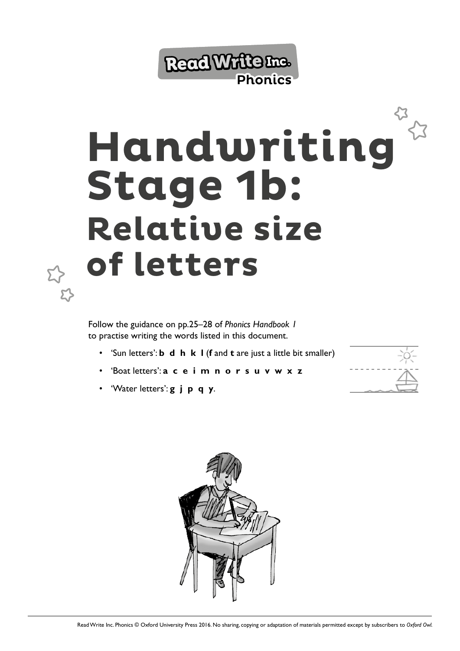

## **Handwriting Stage 1b: Relative size of letters**

Follow the guidance on pp.25–28 of *Phonics Handbook 1* to practise writing the words listed in this document.

- 'Sun letters': **b d h k l** (**f** and **t** are just a little bit smaller)
- 'Boat letters': **a c e i m n o r s u v w x z**
- 'Water letters': **g j p q y**.



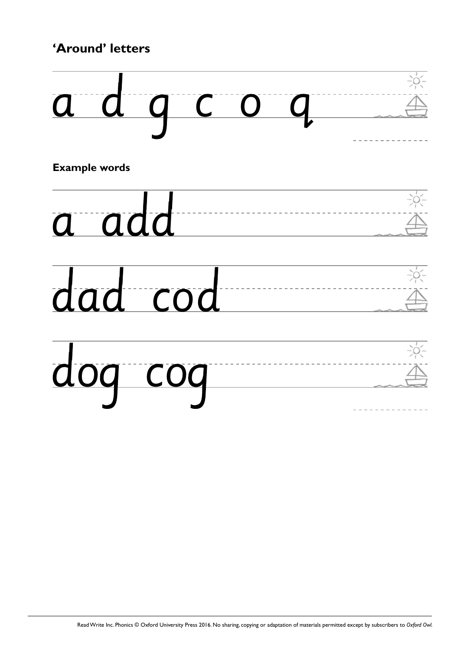## **'Around' letters**



**Example words**





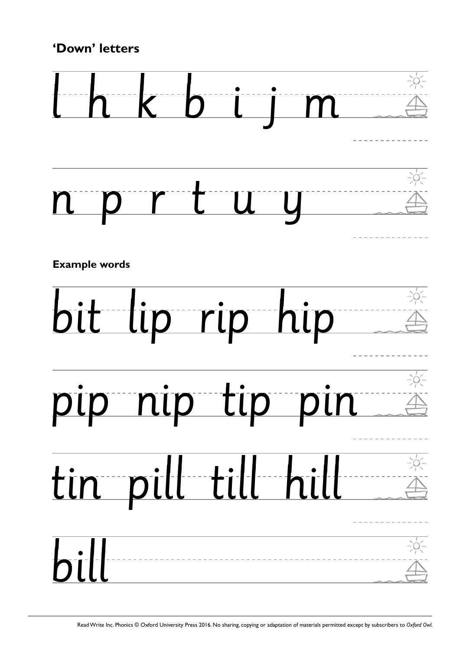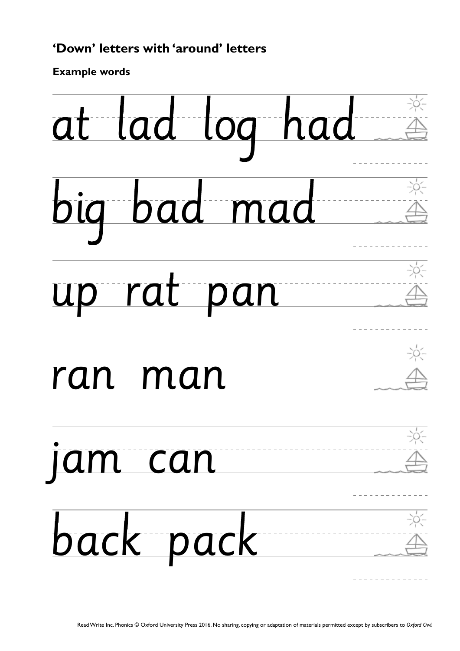## **'Down' letters with 'around' letters**

**Example words**

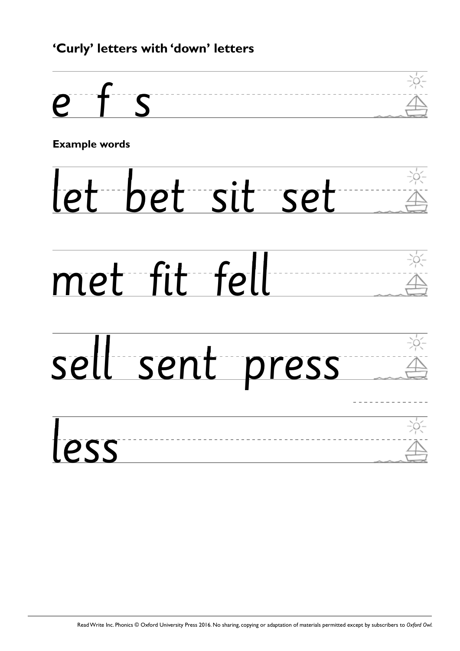## **'Curly' letters with 'down' letters**



**Example words**

let bet sit set





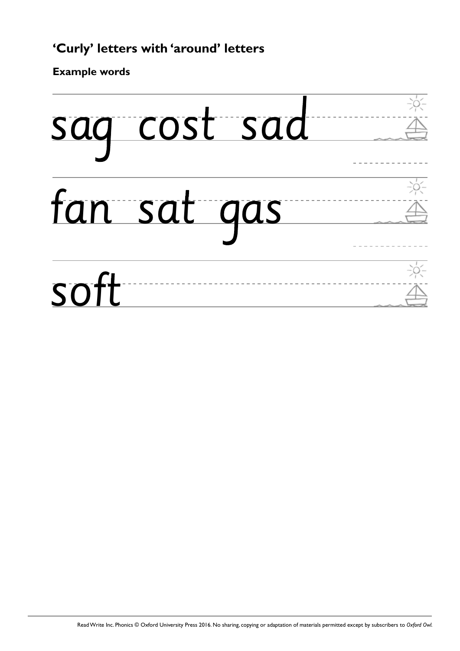**Example words**